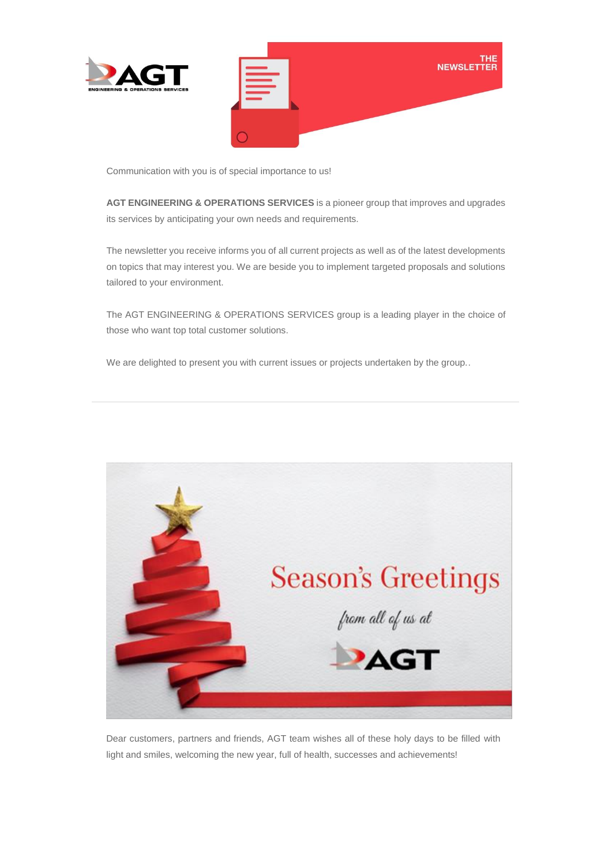



Communication with you is of special importance to us!

**AGT ENGINEERING & OPERATIONS SERVICES** is a pioneer group that improves and upgrades its services by anticipating your own needs and requirements.

The newsletter you receive informs you of all current projects as well as of the latest developments on topics that may interest you. We are beside you to implement targeted proposals and solutions tailored to your environment.

The AGT ENGINEERING & OPERATIONS SERVICES group is a leading player in the choice of those who want top total customer solutions.

We are delighted to present you with current issues or projects undertaken by the group..



Dear customers, partners and friends, AGT team wishes all of these holy days to be filled with light and smiles, welcoming the new year, full of health, successes and achievements!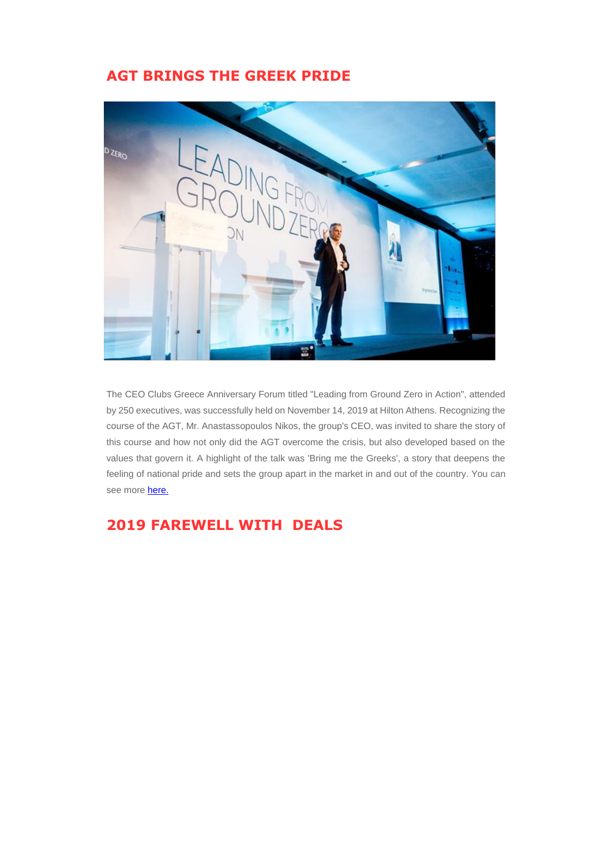## **AGT BRINGS THE GREEK PRIDE**



The CEO Clubs Greece Anniversary Forum titled "Leading from Ground Zero in Action", attended by 250 executives, was successfully held on November 14, 2019 at Hilton Athens. Recognizing the course of the AGT, Mr. Anastassopoulos Nikos, the group's CEO, was invited to share the story of this course and how not only did the AGT overcome the crisis, but also developed based on the values that govern it. A highlight of the talk was 'Bring me the Greeks', a story that deepens the feeling of national pride and sets the group apart in the market in and out of the country. You can see mor[e here.](https://www.agtgroup.gr/agt-leading-from-ground-zero/)

## **2019 FAREWELL WITH DEALS**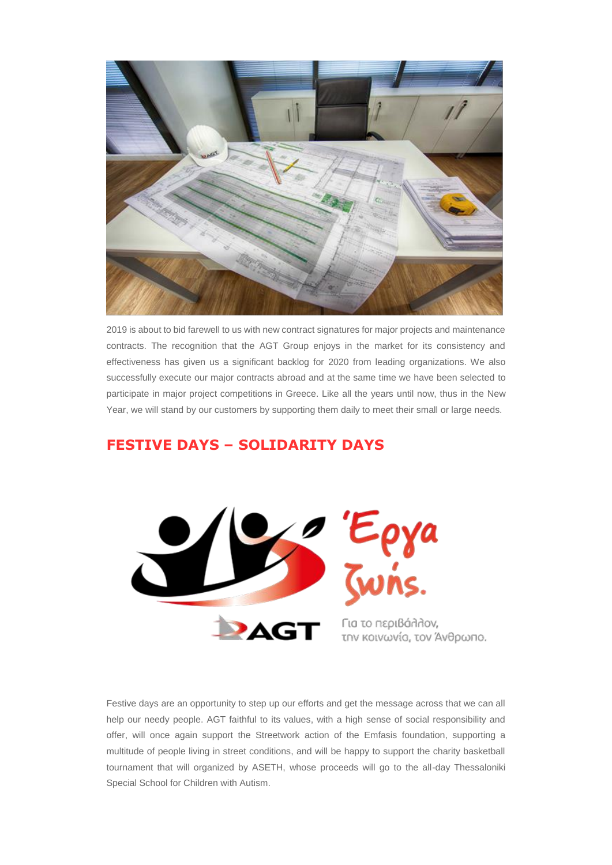

2019 is about to bid farewell to us with new contract signatures for major projects and maintenance contracts. The recognition that the AGT Group enjoys in the market for its consistency and effectiveness has given us a significant backlog for 2020 from leading organizations. We also successfully execute our major contracts abroad and at the same time we have been selected to participate in major project competitions in Greece. Like all the years until now, thus in the New Year, we will stand by our customers by supporting them daily to meet their small or large needs.

## **FESTIVE DAYS – SOLIDARITY DAYS**



Festive days are an opportunity to step up our efforts and get the message across that we can all help our needy people. AGT faithful to its values, with a high sense of social responsibility and offer, will once again support the Streetwork action of the Emfasis foundation, supporting a multitude of people living in street conditions, and will be happy to support the charity basketball tournament that will organized by ASETH, whose proceeds will go to the all-day Thessaloniki Special School for Children with Autism.